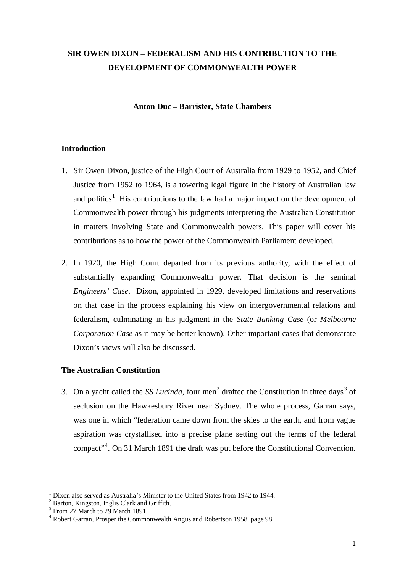# **SIR OWEN DIXON – FEDERALISM AND HIS CONTRIBUTION TO THE DEVELOPMENT OF COMMONWEALTH POWER**

**Anton Duc – Barrister, State Chambers**

# **Introduction**

- 1. Sir Owen Dixon, justice of the High Court of Australia from 1929 to 1952, and Chief Justice from 1952 to 1964, is a towering legal figure in the history of Australian law and politics<sup>[1](#page-0-0)</sup>. His contributions to the law had a major impact on the development of Commonwealth power through his judgments interpreting the Australian Constitution in matters involving State and Commonwealth powers. This paper will cover his contributions as to how the power of the Commonwealth Parliament developed.
- 2. In 1920, the High Court departed from its previous authority, with the effect of substantially expanding Commonwealth power. That decision is the seminal *Engineers' Case*. Dixon, appointed in 1929, developed limitations and reservations on that case in the process explaining his view on intergovernmental relations and federalism, culminating in his judgment in the *State Banking Case* (or *Melbourne Corporation Case* as it may be better known). Other important cases that demonstrate Dixon's views will also be discussed.

# **The Australian Constitution**

[3](#page-0-2). On a yacht called the *SS Lucinda*, four men<sup>[2](#page-0-1)</sup> drafted the Constitution in three days<sup>3</sup> of seclusion on the Hawkesbury River near Sydney. The whole process, Garran says, was one in which "federation came down from the skies to the earth, and from vague aspiration was crystallised into a precise plane setting out the terms of the federal compact"[4](#page-0-3) . On 31 March 1891 the draft was put before the Constitutional Convention.

<span id="page-0-0"></span><sup>&</sup>lt;sup>1</sup> Dixon also served as Australia's Minister to the United States from 1942 to 1944.<br>
<sup>2</sup> Barton, Kingston, Inglis Clark and Griffith.<br>
<sup>3</sup> From 27 March to 29 March 1891.<br>
<sup>4</sup> Robert Garran. Prosper the Commonwealth Ang

<span id="page-0-1"></span>

<span id="page-0-2"></span>

<span id="page-0-3"></span>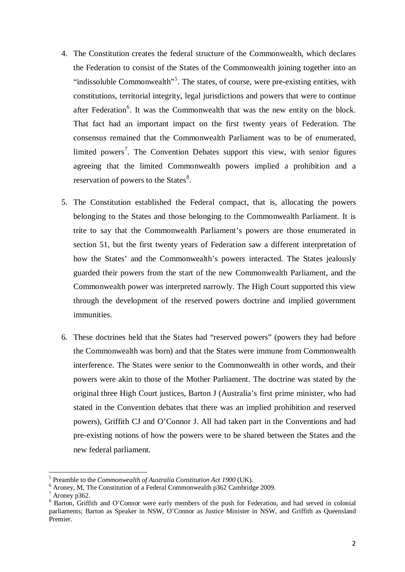- 4. The Constitution creates the federal structure of the Commonwealth, which declares the Federation to consist of the States of the Commonwealth joining together into an "indissoluble Commonwealth"<sup>[5](#page-1-0)</sup>. The states, of course, were pre-existing entities, with constitutions, territorial integrity, legal jurisdictions and powers that were to continue after Federation<sup>[6](#page-1-1)</sup>. It was the Commonwealth that was the new entity on the block. That fact had an important impact on the first twenty years of Federation. The consensus remained that the Commonwealth Parliament was to be of enumerated, limited powers<sup>[7](#page-1-2)</sup>. The Convention Debates support this view, with senior figures agreeing that the limited Commonwealth powers implied a prohibition and a reservation of powers to the States<sup>[8](#page-1-3)</sup>.
- 5. The Constitution established the Federal compact, that is, allocating the powers belonging to the States and those belonging to the Commonwealth Parliament. It is trite to say that the Commonwealth Parliament's powers are those enumerated in section 51, but the first twenty years of Federation saw a different interpretation of how the States' and the Commonwealth's powers interacted. The States jealously guarded their powers from the start of the new Commonwealth Parliament, and the Commonwealth power was interpreted narrowly. The High Court supported this view through the development of the reserved powers doctrine and implied government immunities.
- 6. These doctrines held that the States had "reserved powers" (powers they had before the Commonwealth was born) and that the States were immune from Commonwealth interference. The States were senior to the Commonwealth in other words, and their powers were akin to those of the Mother Parliament. The doctrine was stated by the original three High Court justices, Barton J (Australia's first prime minister, who had stated in the Convention debates that there was an implied prohibition and reserved powers), Griffith CJ and O'Connor J. All had taken part in the Conventions and had pre-existing notions of how the powers were to be shared between the States and the new federal parliament.

<span id="page-1-1"></span>

<span id="page-1-3"></span><span id="page-1-2"></span>

<span id="page-1-0"></span><sup>&</sup>lt;sup>5</sup> Preamble to the *Commonwealth of Australia Constitution Act 1900* (UK).<br>
<sup>6</sup> Aroney, M, The Constitution of a Federal Commonwealth p362 Cambridge 2009.<br>
<sup>7</sup> Aroney p362.<br>
<sup>8</sup> Barton, Griffith and O'Connor were early m parliaments; Barton as Speaker in NSW, O'Connor as Justice Minister in NSW, and Griffith as Queensland Premier.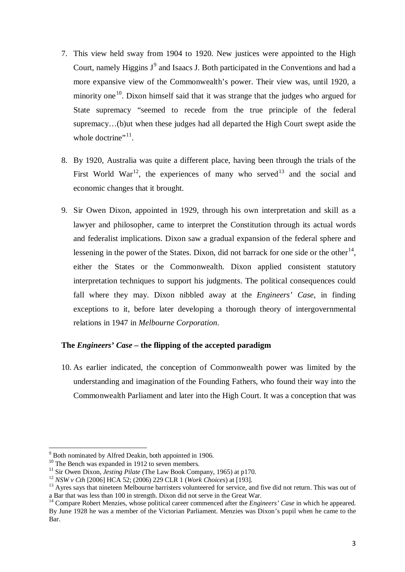- 7. This view held sway from 1904 to 1920. New justices were appointed to the High Court, namely Higgins  $J^9$  $J^9$  and Isaacs J. Both participated in the Conventions and had a more expansive view of the Commonwealth's power. Their view was, until 1920, a minority one<sup>[10](#page-2-1)</sup>. Dixon himself said that it was strange that the judges who argued for State supremacy "seemed to recede from the true principle of the federal supremacy…(b)ut when these judges had all departed the High Court swept aside the whole doctrine".<sup>11</sup>.
- 8. By 1920, Australia was quite a different place, having been through the trials of the First World War<sup>[12](#page-2-3)</sup>, the experiences of many who served<sup>[13](#page-2-4)</sup> and the social and economic changes that it brought.
- 9. Sir Owen Dixon, appointed in 1929, through his own interpretation and skill as a lawyer and philosopher, came to interpret the Constitution through its actual words and federalist implications. Dixon saw a gradual expansion of the federal sphere and lessening in the power of the States. Dixon, did not barrack for one side or the other<sup>[14](#page-2-5)</sup>, either the States or the Commonwealth. Dixon applied consistent statutory interpretation techniques to support his judgments. The political consequences could fall where they may. Dixon nibbled away at the *Engineers' Case*, in finding exceptions to it, before later developing a thorough theory of intergovernmental relations in 1947 in *Melbourne Corporation*.

# **The** *Engineers' Case –* **the flipping of the accepted paradigm**

10. As earlier indicated, the conception of Commonwealth power was limited by the understanding and imagination of the Founding Fathers, who found their way into the Commonwealth Parliament and later into the High Court. It was a conception that was

<span id="page-2-2"></span>

<span id="page-2-4"></span><span id="page-2-3"></span>

<span id="page-2-1"></span><span id="page-2-0"></span><sup>&</sup>lt;sup>9</sup> Both nominated by Alfred Deakin, both appointed in 1906.<br><sup>10</sup> The Bench was expanded in 1912 to seven members.<br><sup>11</sup> Sir Owen Dixon, *Jesting Pilate* (The Law Book Company, 1965) at p170.<br><sup>12</sup> NSW v Cth [2006] HCA 52;

<span id="page-2-5"></span><sup>&</sup>lt;sup>14</sup> Compare Robert Menzies, whose political career commenced after the *Engineers' Case* in which he appeared. By June 1928 he was a member of the Victorian Parliament. Menzies was Dixon's pupil when he came to the Bar.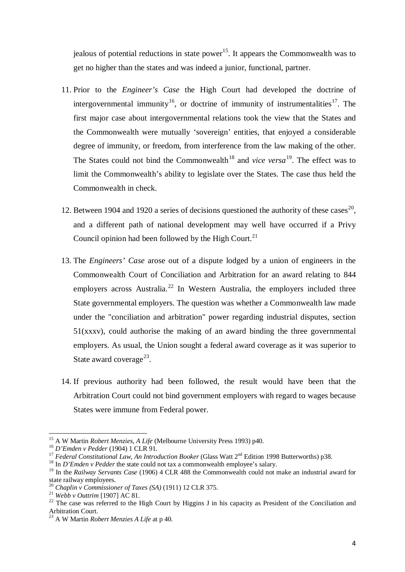iealous of potential reductions in state power<sup>15</sup>. It appears the Commonwealth was to get no higher than the states and was indeed a junior, functional, partner.

- 11. Prior to the *Engineer's Case* the High Court had developed the doctrine of intergovernmental immunity<sup>16</sup>, or doctrine of immunity of instrumentalities<sup>[17](#page-3-2)</sup>. The first major case about intergovernmental relations took the view that the States and the Commonwealth were mutually 'sovereign' entities, that enjoyed a considerable degree of immunity, or freedom, from interference from the law making of the other. The States could not bind the Commonwealth<sup>[18](#page-3-3)</sup> and *vice versa*<sup>[19](#page-3-4)</sup>. The effect was to limit the Commonwealth's ability to legislate over the States. The case thus held the Commonwealth in check.
- 12. Between 1904 and 19[20](#page-3-5) a series of decisions questioned the authority of these cases<sup>20</sup>, and a different path of national development may well have occurred if a Privy Council opinion had been followed by the High Court.<sup>[21](#page-3-6)</sup>
- 13. The *Engineers' Case* arose out of a dispute lodged by a union of engineers in the Commonwealth Court of Conciliation and Arbitration for an award relating to 844 employers across Australia.<sup>[22](#page-3-7)</sup> In Western Australia, the employers included three State governmental employers. The question was whether a Commonwealth law made under the "conciliation and arbitration" power regarding industrial disputes, section 51(xxxv), could authorise the making of an award binding the three governmental employers. As usual, the Union sought a federal award coverage as it was superior to State award coverage<sup>[23](#page-3-8)</sup>.
- 14. If previous authority had been followed, the result would have been that the Arbitration Court could not bind government employers with regard to wages because States were immune from Federal power.

<span id="page-3-1"></span><span id="page-3-0"></span><sup>&</sup>lt;sup>15</sup> A W Martin *Robert Menzies, A Life* (Melbourne University Press 1993) p40.<br><sup>16</sup> D'Emden v Pedder (1904) 1 CLR 91.<br><sup>17</sup> Federal Constitutional Law, An Introduction Booker (Glass Watt 2<sup>nd</sup> Edition 1998 Butterworths) p

<span id="page-3-2"></span>

<span id="page-3-4"></span><span id="page-3-3"></span><sup>&</sup>lt;sup>19</sup> In the *Railway Servants Case* (1906) 4 CLR 488 the Commonwealth could not make an industrial award for state railway employees.<br><sup>20</sup> Chaplin v Commissioner of Taxes (SA) (1911) 12 CLR 375.

<span id="page-3-7"></span><span id="page-3-6"></span><span id="page-3-5"></span><sup>&</sup>lt;sup>21</sup> *Webb v Outtrim* [1907] AC 81. <sup>21</sup> *Webb v Outtrim* [1907] AC 81. <sup>22</sup> The case was referred to the High Court by Higgins J in his capacity as President of the Conciliation and Arbitration Court.

<span id="page-3-8"></span><sup>23</sup> A W Martin *Robert Menzies A Life* at p 40.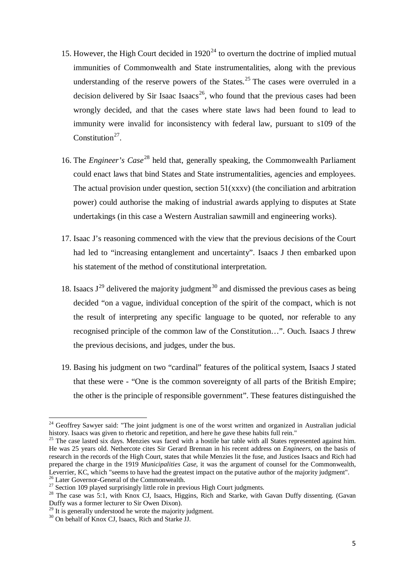- 15. However, the High Court decided in  $1920^{24}$  $1920^{24}$  $1920^{24}$  to overturn the doctrine of implied mutual immunities of Commonwealth and State instrumentalities, along with the previous understanding of the reserve powers of the States.<sup>[25](#page-4-1)</sup> The cases were overruled in a decision delivered by Sir Isaac Isaacs<sup>26</sup>, who found that the previous cases had been wrongly decided, and that the cases where state laws had been found to lead to immunity were invalid for inconsistency with federal law, pursuant to s109 of the Constitution<sup>27</sup>.
- 16. The *Engineer's Case*[28](#page-4-4) held that, generally speaking, the Commonwealth Parliament could enact laws that bind States and State instrumentalities, agencies and employees. The actual provision under question, section  $51(xxxv)$  (the conciliation and arbitration power) could authorise the making of industrial awards applying to disputes at State undertakings (in this case a Western Australian sawmill and engineering works).
- 17. Isaac J's reasoning commenced with the view that the previous decisions of the Court had led to "increasing entanglement and uncertainty". Isaacs J then embarked upon his statement of the method of constitutional interpretation.
- 18. Isaacs  $J^{29}$  $J^{29}$  $J^{29}$  delivered the majority judgment<sup>[30](#page-4-6)</sup> and dismissed the previous cases as being decided "on a vague, individual conception of the spirit of the compact, which is not the result of interpreting any specific language to be quoted, nor referable to any recognised principle of the common law of the Constitution…". Ouch. Isaacs J threw the previous decisions, and judges, under the bus.
- 19. Basing his judgment on two "cardinal" features of the political system, Isaacs J stated that these were - "One is the common sovereignty of all parts of the British Empire; the other is the principle of responsible government". These features distinguished the

<span id="page-4-0"></span><sup>&</sup>lt;sup>24</sup> Geoffrev Sawver said: "The joint judgment is one of the worst written and organized in Australian judicial history. Isaacs was given to rhetoric and repetition, and here he gave these habits full rein."

<span id="page-4-1"></span> $25$  The case lasted six days. Menzies was faced with a hostile bar table with all States represented against him. He was 25 years old. Nethercote cites Sir Gerard Brennan in his recent address on *Engineers*, on the basis of research in the records of the High Court, states that while Menzies lit the fuse, and Justices Isaacs and Rich had prepared the charge in the 1919 *Municipalities Case*, it was the argument of counsel for the Commonwealth, Leverrier, KC, which "seems to have had the greatest impact on the putative author of the majority judgment".<br><sup>26</sup> Later Governor-General of the Commonwealth.

<span id="page-4-4"></span><span id="page-4-3"></span><span id="page-4-2"></span> $^{27}$  Section 109 played surprisingly little role in previous High Court judgments.<br><sup>28</sup> The case was 5:1, with Knox CJ, Isaacs, Higgins, Rich and Starke, with Gavan Duffy dissenting. (Gavan Duffy was a former lecturer to Sir Owen Dixon).<br><sup>29</sup> It is generally understood he wrote the majority judgment.

<span id="page-4-6"></span><span id="page-4-5"></span><sup>&</sup>lt;sup>30</sup> On behalf of Knox CJ, Isaacs, Rich and Starke JJ.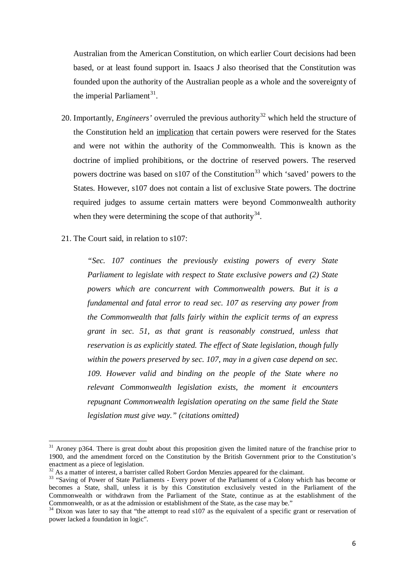Australian from the American Constitution, on which earlier Court decisions had been based, or at least found support in. Isaacs J also theorised that the Constitution was founded upon the authority of the Australian people as a whole and the sovereignty of the imperial Parliament<sup>[31](#page-5-0)</sup>.

- 20. Importantly, *Engineers'* overruled the previous authority<sup>[32](#page-5-1)</sup> which held the structure of the Constitution held an implication that certain powers were reserved for the States and were not within the authority of the Commonwealth. This is known as the doctrine of implied prohibitions, or the doctrine of reserved powers. The reserved powers doctrine was based on s107 of the Constitution<sup>[33](#page-5-2)</sup> which 'saved' powers to the States. However, s107 does not contain a list of exclusive State powers. The doctrine required judges to assume certain matters were beyond Commonwealth authority when they were determining the scope of that authority<sup>[34](#page-5-3)</sup>.
- 21. The Court said, in relation to s107:

*"Sec. 107 continues the previously existing powers of every State Parliament to legislate with respect to State exclusive powers and (2) State powers which are concurrent with Commonwealth powers. But it is a fundamental and fatal error to read sec. 107 as reserving any power from the Commonwealth that falls fairly within the explicit terms of an express grant in sec. 51, as that grant is reasonably construed, unless that reservation is as explicitly stated. The effect of State legislation, though fully within the powers preserved by sec. 107, may in a given case depend on sec. 109. However valid and binding on the people of the State where no relevant Commonwealth legislation exists, the moment it encounters repugnant Commonwealth legislation operating on the same field the State legislation must give way." (citations omitted)*

<span id="page-5-0"></span><sup>&</sup>lt;sup>31</sup> Aroney p364. There is great doubt about this proposition given the limited nature of the franchise prior to 1900, and the amendment forced on the Constitution by the British Government prior to the Constitution's enactment as a piece of legislation.<br><sup>32</sup> As a matter of interest, a barrister called Robert Gordon Menzies appeared for the claimant.

<span id="page-5-2"></span><span id="page-5-1"></span><sup>&</sup>lt;sup>33</sup> "Saving of Power of State Parliaments - Every power of the Parliament of a Colony which has become or becomes a State, shall, unless it is by this Constitution exclusively vested in the Parliament of the Commonwealth or withdrawn from the Parliament of the State, continue as at the establishment of the Commonwealth, or as at the admission or establishment of the State, as the case may be."

<span id="page-5-3"></span> $34$  Dixon was later to say that "the attempt to read s107 as the equivalent of a specific grant or reservation of power lacked a foundation in logic".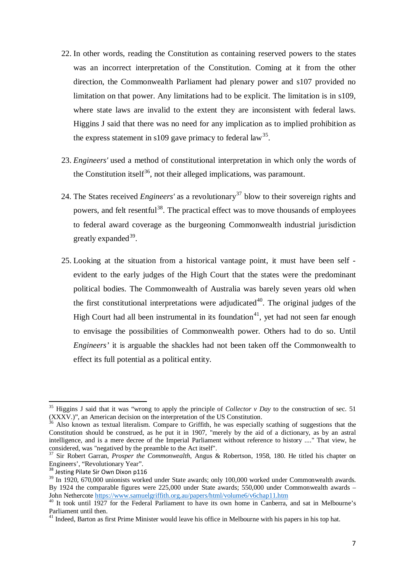- 22. In other words, reading the Constitution as containing reserved powers to the states was an incorrect interpretation of the Constitution. Coming at it from the other direction, the Commonwealth Parliament had plenary power and s107 provided no limitation on that power. Any limitations had to be explicit. The limitation is in s109, where state laws are invalid to the extent they are inconsistent with federal laws. Higgins J said that there was no need for any implication as to implied prohibition as the express statement in s109 gave primacy to federal law<sup>[35](#page-6-0)</sup>.
- 23. *Engineers'* used a method of constitutional interpretation in which only the words of the Constitution itself<sup>36</sup>, not their alleged implications, was paramount.
- 24. The States received *Engineers'* as a revolutionary<sup>[37](#page-6-2)</sup> blow to their sovereign rights and powers, and felt resentful<sup>38</sup>. The practical effect was to move thousands of employees to federal award coverage as the burgeoning Commonwealth industrial jurisdiction greatly expanded  $39$ .
- 25. Looking at the situation from a historical vantage point, it must have been self evident to the early judges of the High Court that the states were the predominant political bodies. The Commonwealth of Australia was barely seven years old when the first constitutional interpretations were adjudicated<sup>[40](#page-6-5)</sup>. The original judges of the High Court had all been instrumental in its foundation<sup>[41](#page-6-6)</sup>, yet had not seen far enough to envisage the possibilities of Commonwealth power. Others had to do so. Until *Engineers'* it is arguable the shackles had not been taken off the Commonwealth to effect its full potential as a political entity.

<span id="page-6-0"></span><sup>35</sup> Higgins J said that it was "wrong to apply the principle of *Collector v Day* to the construction of sec. 51 (XXXV.)", an American decision on the interpretation of the US Constitution.<br>
<sup>36</sup> Also known as textual literalism. Compare to Griffith, he was especially scathing of suggestions that the

<span id="page-6-1"></span>Constitution should be construed, as he put it in 1907, "merely by the aid of a dictionary, as by an astral intelligence, and is a mere decree of the Imperial Parliament without reference to history ...." That view, he

<span id="page-6-2"></span>considered, was "negatived by the preamble to the Act itself".<br><sup>37</sup> Sir Robert Garran, *Prosper the Commonwealth*, Angus & Robertson, 1958, 180. He titled his chapter on Engineers', "Revolutionary Year".

<span id="page-6-3"></span><sup>&</sup>lt;sup>38</sup> Jesting Pilate Sir Own Dixon p116

<span id="page-6-4"></span><sup>&</sup>lt;sup>39</sup> In 1920, 670,000 unionists worked under State awards; only 100,000 worked under Commonwealth awards. By 1924 the comparable figures were 225,000 under State awards; 550,000 under Commonwealth awards – John Nethercote https://www.samuelgriffith.org.au/papers/html/volume6/v6chap11.htm

<span id="page-6-5"></span> $^{40}$  It took until 1927 for the Federal Parliament to have its own home in Canberra, and sat in Melbourne's Parliament until then.

<span id="page-6-6"></span><sup>&</sup>lt;sup>41</sup> Indeed, Barton as first Prime Minister would leave his office in Melbourne with his papers in his top hat.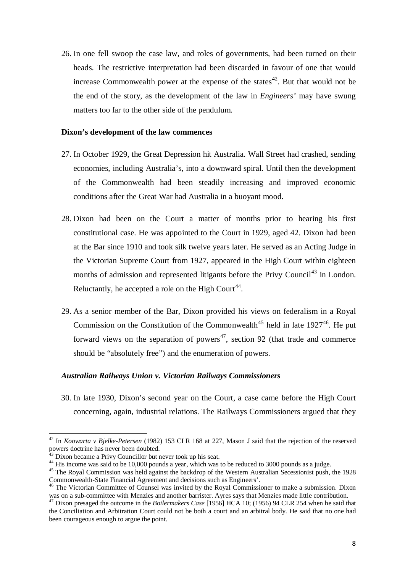26. In one fell swoop the case law, and roles of governments, had been turned on their heads. The restrictive interpretation had been discarded in favour of one that would increase Commonwealth power at the expense of the states<sup>[42](#page-7-0)</sup>. But that would not be the end of the story, as the development of the law in *Engineers'* may have swung matters too far to the other side of the pendulum.

#### **Dixon's development of the law commences**

- 27. In October 1929, the Great Depression hit Australia. Wall Street had crashed, sending economies, including Australia's, into a downward spiral. Until then the development of the Commonwealth had been steadily increasing and improved economic conditions after the Great War had Australia in a buoyant mood.
- 28. Dixon had been on the Court a matter of months prior to hearing his first constitutional case. He was appointed to the Court in 1929, aged 42. Dixon had been at the Bar since 1910 and took silk twelve years later. He served as an Acting Judge in the Victorian Supreme Court from 1927, appeared in the High Court within eighteen months of admission and represented litigants before the Privy Council<sup>[43](#page-7-1)</sup> in London. Reluctantly, he accepted a role on the High Court<sup>[44](#page-7-2)</sup>.
- 29. As a senior member of the Bar, Dixon provided his views on federalism in a Royal Commission on the Constitution of the Commonwealth<sup>[45](#page-7-3)</sup> held in late  $1927^{46}$  $1927^{46}$  $1927^{46}$ . He put forward views on the separation of powers<sup>[47](#page-7-5)</sup>, section 92 (that trade and commerce should be "absolutely free") and the enumeration of powers.

## *Australian Railways Union v. Victorian Railways Commissioners*

30. In late 1930, Dixon's second year on the Court, a case came before the High Court concerning, again, industrial relations. The Railways Commissioners argued that they

<span id="page-7-0"></span><sup>42</sup> In *Koowarta v Bjelke-Petersen* (1982) 153 CLR 168 at 227, Mason J said that the rejection of the reserved powers doctrine has never been doubted.<br><sup>43</sup> Dixon became a Privy Councillor but never took up his seat.

<span id="page-7-3"></span><span id="page-7-2"></span><span id="page-7-1"></span><sup>&</sup>lt;sup>44</sup> His income was said to be 10,000 pounds a year, which was to be reduced to 3000 pounds as a judge.<br><sup>45</sup> The Royal Commission was held against the backdrop of the Western Australian Secessionist push, the 1928<br>Commonw

<span id="page-7-4"></span><sup>&</sup>lt;sup>46</sup> The Victorian Committee of Counsel was invited by the Royal Commissioner to make a submission. Dixon was on a sub-committee with Menzies and another barrister. Avres says that Menzies made little contribution.

<span id="page-7-5"></span><sup>&</sup>lt;sup>47</sup> Dixon presaged the outcome in the *Boilermakers Case* [1956] HCA 10; (1956) 94 CLR 254 when he said that the Conciliation and Arbitration Court could not be both a court and an arbitral body. He said that no one had been courageous enough to argue the point.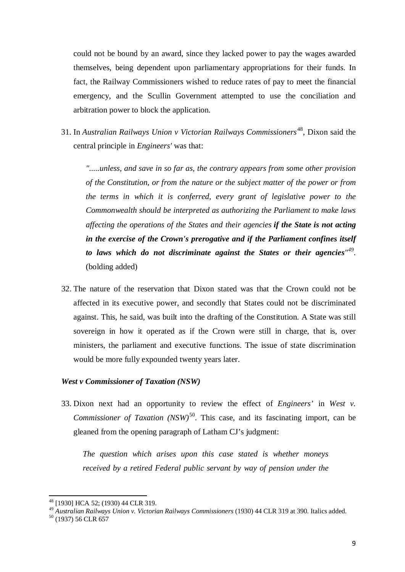could not be bound by an award, since they lacked power to pay the wages awarded themselves, being dependent upon parliamentary appropriations for their funds. In fact, the Railway Commissioners wished to reduce rates of pay to meet the financial emergency, and the Scullin Government attempted to use the conciliation and arbitration power to block the application.

31. In *Australian Railways Union v Victorian Railways Commissioners*[48](#page-8-0), Dixon said the central principle in *Engineers'* was that:

*".....unless, and save in so far as, the contrary appears from some other provision of the Constitution, or from the nature or the subject matter of the power or from the terms in which it is conferred, every grant of legislative power to the Commonwealth should be interpreted as authorizing the Parliament to make laws affecting the operations of the States and their agencies if the State is not acting in the exercise of the Crown's prerogative and if the Parliament confines itself to laws which do not discriminate against the States or their agencies"[49](#page-8-1).* (bolding added)

32. The nature of the reservation that Dixon stated was that the Crown could not be affected in its executive power, and secondly that States could not be discriminated against. This, he said, was built into the drafting of the Constitution. A State was still sovereign in how it operated as if the Crown were still in charge, that is, over ministers, the parliament and executive functions. The issue of state discrimination would be more fully expounded twenty years later.

## *West v Commissioner of Taxation (NSW)*

33. Dixon next had an opportunity to review the effect of *Engineers'* in *West v. Commissioner of Taxation (NSW)*<sup>50</sup>. This case, and its fascinating import, can be gleaned from the opening paragraph of Latham CJ's judgment:

*The question which arises upon this case stated is whether moneys received by a retired Federal public servant by way of pension under the* 

<span id="page-8-1"></span><span id="page-8-0"></span><sup>48</sup> [1930] HCA 52; (1930) 44 CLR 319. <sup>49</sup> *Australian Railways Union v. Victorian Railways Commissioners* (1930) 44 CLR 319 at 390. Italics added. <sup>50</sup> (1937) 56 CLR 657

<span id="page-8-2"></span>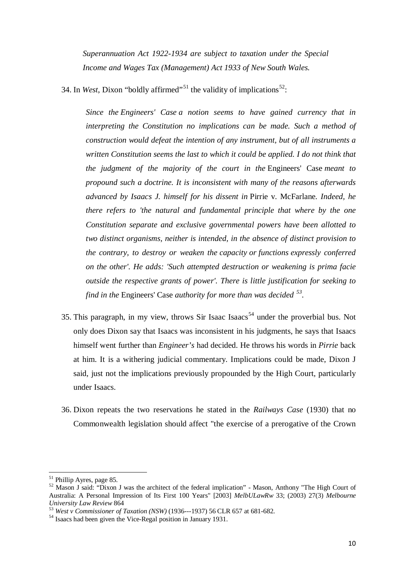*Superannuation Act 1922-1934 are subject to taxation under the Special Income and Wages Tax (Management) Act 1933 of New South Wales.* 

34. In *West*, Dixon "boldly affirmed"<sup>[51](#page-9-0)</sup> the validity of implications<sup>52</sup>:

*Since the Engineers' Case a notion seems to have gained currency that in interpreting the Constitution no implications can be made. Such a method of construction would defeat the intention of any instrument, but of all instruments a*  written Constitution seems the last to which it could be applied. I do not think that *the judgment of the majority of the court in the* Engineers' Case *meant to propound such a doctrine. It is inconsistent with many of the reasons afterwards advanced by Isaacs J. himself for his dissent in* Pirrie v. McFarlane*. Indeed, he there refers to 'the natural and fundamental principle that where by the one Constitution separate and exclusive governmental powers have been allotted to two distinct organisms, neither is intended, in the absence of distinct provision to the contrary, to destroy or weaken the capacity or functions expressly conferred on the other'. He adds: 'Such attempted destruction or weakening is prima facie outside the respective grants of power'. There is little justification for seeking to find in the* Engineers' Case *authority for more than was decided [53](#page-9-2).*

- 35. This paragraph, in my view, throws Sir Isaac Isaacs<sup>[54](#page-9-3)</sup> under the proverbial bus. Not only does Dixon say that Isaacs was inconsistent in his judgments, he says that Isaacs himself went further than *Engineer's* had decided. He throws his words in *Pirrie* back at him. It is a withering judicial commentary. Implications could be made, Dixon J said, just not the implications previously propounded by the High Court, particularly under Isaacs.
- 36. Dixon repeats the two reservations he stated in the *Railways Case* (1930) that no Commonwealth legislation should affect "the exercise of a prerogative of the Crown

<span id="page-9-1"></span><span id="page-9-0"></span><sup>&</sup>lt;sup>51</sup> Phillip Ayres, page 85.<br><sup>52</sup> Mason J said: "Dixon J was the architect of the federal implication" - Mason, Anthony "The High Court of Australia: A Personal Impression of Its First 100 Years" [2003] *MelbULawRw* 33; (2003) 27(3) *Melbourne University Law Review 864*<br><sup>53</sup> *West v Commissioner of Taxation (NSW)* (1936---1937) 56 CLR 657 at 681-682.<br><sup>54</sup> Isaacs had been given the Vice-Regal position in January 1931.

<span id="page-9-2"></span>

<span id="page-9-3"></span>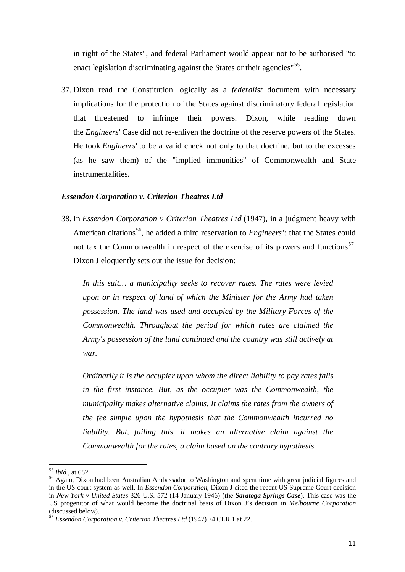in right of the States", and federal Parliament would appear not to be authorised "to enact legislation discriminating against the States or their agencies"<sup>55</sup>.

37. Dixon read the Constitution logically as a *federalist* document with necessary implications for the protection of the States against discriminatory federal legislation that threatened to infringe their powers. Dixon, while reading down the *Engineers'* Case did not re-enliven the doctrine of the reserve powers of the States. He took *Engineers'* to be a valid check not only to that doctrine, but to the excesses (as he saw them) of the "implied immunities" of Commonwealth and State instrumentalities.

#### *Essendon Corporation v. Criterion Theatres Ltd*

38. In *Essendon Corporation v Criterion Theatres Ltd* (1947), in a judgment heavy with American citations<sup>[56](#page-10-1)</sup>, he added a third reservation to *Engineers'*: that the States could not tax the Commonwealth in respect of the exercise of its powers and functions<sup>[57](#page-10-2)</sup>. Dixon J eloquently sets out the issue for decision:

*In this suit… a municipality seeks to recover rates. The rates were levied upon or in respect of land of which the Minister for the Army had taken possession. The land was used and occupied by the Military Forces of the Commonwealth. Throughout the period for which rates are claimed the Army's possession of the land continued and the country was still actively at war.* 

*Ordinarily it is the occupier upon whom the direct liability to pay rates falls in the first instance. But, as the occupier was the Commonwealth, the municipality makes alternative claims. It claims the rates from the owners of the fee simple upon the hypothesis that the Commonwealth incurred no liability. But, failing this, it makes an alternative claim against the Commonwealth for the rates, a claim based on the contrary hypothesis.* 

<span id="page-10-1"></span><span id="page-10-0"></span><sup>&</sup>lt;sup>55</sup> *Ibid.*, at 682.<br><sup>56</sup> Again, Dixon had been Australian Ambassador to Washington and spent time with great judicial figures and in the US court system as well. In *Essendon Corporation*, Dixon J cited the recent US Supreme Court decision in *New York v United States* 326 U.S. 572 (14 January 1946) (*the Saratoga Springs Case*). This case was the US progenitor of what would become the doctrinal basis of Dixon J's decision in *Melbourne Corporation*   $\frac{1}{\text{discussed below}}$ .

<span id="page-10-2"></span><sup>57</sup> *Essendon Corporation v. Criterion Theatres Ltd* (1947) 74 CLR 1 at 22.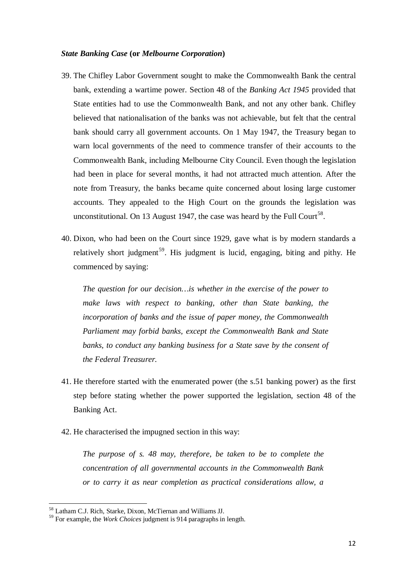#### *State Banking Case* **(or** *Melbourne Corporation***)**

- 39. The Chifley Labor Government sought to make the Commonwealth Bank the central bank, extending a wartime power. Section 48 of the *Banking Act 1945* provided that State entities had to use the Commonwealth Bank, and not any other bank. Chifley believed that nationalisation of the banks was not achievable, but felt that the central bank should carry all government accounts. On 1 May 1947, the Treasury began to warn local governments of the need to commence transfer of their accounts to the Commonwealth Bank, including Melbourne City Council. Even though the legislation had been in place for several months, it had not attracted much attention. After the note from Treasury, the banks became quite concerned about losing large customer accounts. They appealed to the High Court on the grounds the legislation was unconstitutional. On 13 August 1947, the case was heard by the Full Court<sup>[58](#page-11-0)</sup>.
- 40. Dixon, who had been on the Court since 1929, gave what is by modern standards a relatively short judgment<sup>59</sup>. His judgment is lucid, engaging, biting and pithy. He commenced by saying:

*The question for our decision…is whether in the exercise of the power to make laws with respect to banking, other than State banking, the incorporation of banks and the issue of paper money, the Commonwealth Parliament may forbid banks, except the Commonwealth Bank and State banks, to conduct any banking business for a State save by the consent of the Federal Treasurer.*

- 41. He therefore started with the enumerated power (the s.51 banking power) as the first step before stating whether the power supported the legislation, section 48 of the Banking Act.
- 42. He characterised the impugned section in this way:

*The purpose of s. 48 may, therefore, be taken to be to complete the concentration of all governmental accounts in the Commonwealth Bank or to carry it as near completion as practical considerations allow, a* 

<span id="page-11-0"></span><sup>58</sup> Latham C.J. Rich, Starke, Dixon, McTiernan and Williams JJ.

<span id="page-11-1"></span><sup>59</sup> For example, the *Work Choices* judgment is 914 paragraphs in length.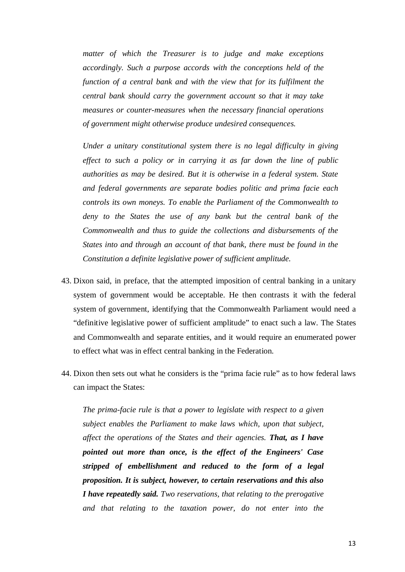*matter of which the Treasurer is to judge and make exceptions accordingly. Such a purpose accords with the conceptions held of the function of a central bank and with the view that for its fulfilment the central bank should carry the government account so that it may take measures or counter-measures when the necessary financial operations of government might otherwise produce undesired consequences.*

*Under a unitary constitutional system there is no legal difficulty in giving effect to such a policy or in carrying it as far down the line of public authorities as may be desired. But it is otherwise in a federal system. State and federal governments are separate bodies politic and prima facie each controls its own moneys. To enable the Parliament of the Commonwealth to deny to the States the use of any bank but the central bank of the Commonwealth and thus to guide the collections and disbursements of the States into and through an account of that bank, there must be found in the Constitution a definite legislative power of sufficient amplitude.*

- 43. Dixon said, in preface, that the attempted imposition of central banking in a unitary system of government would be acceptable. He then contrasts it with the federal system of government, identifying that the Commonwealth Parliament would need a "definitive legislative power of sufficient amplitude" to enact such a law. The States and Commonwealth and separate entities, and it would require an enumerated power to effect what was in effect central banking in the Federation.
- 44. Dixon then sets out what he considers is the "prima facie rule" as to how federal laws can impact the States:

*The prima-facie rule is that a power to legislate with respect to a given subject enables the Parliament to make laws which, upon that subject, affect the operations of the States and their agencies. That, as I have pointed out more than once, is the effect of the Engineers' Case stripped of embellishment and reduced to the form of a legal proposition. It is subject, however, to certain reservations and this also I have repeatedly said. Two reservations, that relating to the prerogative and that relating to the taxation power, do not enter into the*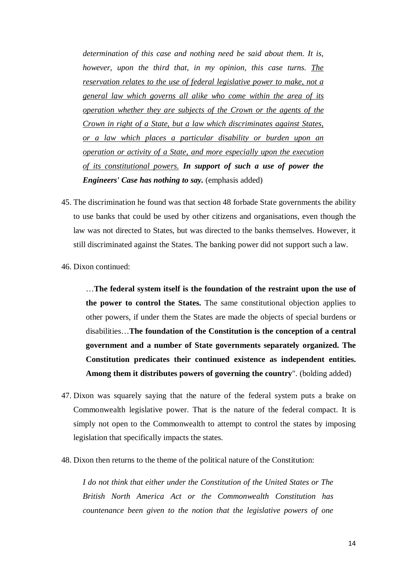*determination of this case and nothing need be said about them. It is, however, upon the third that, in my opinion, this case turns. The reservation relates to the use of federal legislative power to make, not a general law which governs all alike who come within the area of its operation whether they are subjects of the Crown or the agents of the Crown in right of a State, but a law which discriminates against States, or a law which places a particular disability or burden upon an operation or activity of a State, and more especially upon the execution of its constitutional powers. In support of such a use of power the Engineers' Case has nothing to say.* (emphasis added)

- 45. The discrimination he found was that section 48 forbade State governments the ability to use banks that could be used by other citizens and organisations, even though the law was not directed to States, but was directed to the banks themselves. However, it still discriminated against the States. The banking power did not support such a law.
- 46. Dixon continued:

…**The federal system itself is the foundation of the restraint upon the use of the power to control the States.** The same constitutional objection applies to other powers, if under them the States are made the objects of special burdens or disabilities…**The foundation of the Constitution is the conception of a central government and a number of State governments separately organized. The Constitution predicates their continued existence as independent entities. Among them it distributes powers of governing the country**". (bolding added)

- 47. Dixon was squarely saying that the nature of the federal system puts a brake on Commonwealth legislative power. That is the nature of the federal compact. It is simply not open to the Commonwealth to attempt to control the states by imposing legislation that specifically impacts the states.
- 48. Dixon then returns to the theme of the political nature of the Constitution:

*I do not think that either under the Constitution of the United States or The British North America Act or the Commonwealth Constitution has countenance been given to the notion that the legislative powers of one*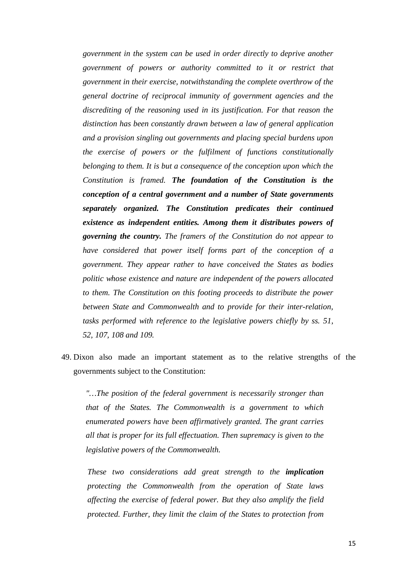*government in the system can be used in order directly to deprive another government of powers or authority committed to it or restrict that government in their exercise, notwithstanding the complete overthrow of the general doctrine of reciprocal immunity of government agencies and the discrediting of the reasoning used in its justification. For that reason the distinction has been constantly drawn between a law of general application and a provision singling out governments and placing special burdens upon the exercise of powers or the fulfilment of functions constitutionally belonging to them. It is but a consequence of the conception upon which the Constitution is framed. The foundation of the Constitution is the conception of a central government and a number of State governments separately organized. The Constitution predicates their continued existence as independent entities. Among them it distributes powers of governing the country. The framers of the Constitution do not appear to have considered that power itself forms part of the conception of a government. They appear rather to have conceived the States as bodies politic whose existence and nature are independent of the powers allocated to them. The Constitution on this footing proceeds to distribute the power between State and Commonwealth and to provide for their inter-relation, tasks performed with reference to the legislative powers chiefly by ss. 51, 52, 107, 108 and 109.*

49. Dixon also made an important statement as to the relative strengths of the governments subject to the Constitution:

*"…The position of the federal government is necessarily stronger than that of the States. The Commonwealth is a government to which enumerated powers have been affirmatively granted. The grant carries all that is proper for its full effectuation. Then supremacy is given to the legislative powers of the Commonwealth.*

*These two considerations add great strength to the implication protecting the Commonwealth from the operation of State laws affecting the exercise of federal power. But they also amplify the field protected. Further, they limit the claim of the States to protection from*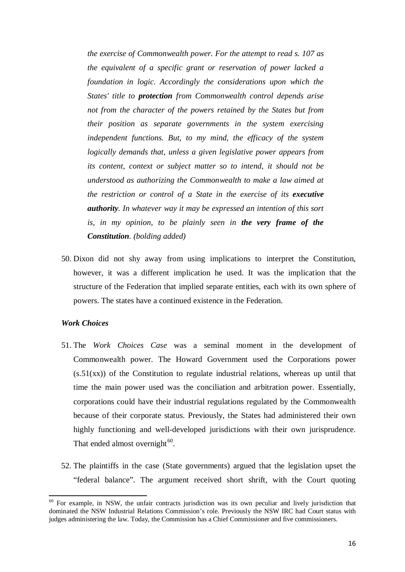*the exercise of Commonwealth power. For the attempt to read s. 107 as the equivalent of a specific grant or reservation of power lacked a foundation in logic. Accordingly the considerations upon which the States' title to protection from Commonwealth control depends arise not from the character of the powers retained by the States but from their position as separate governments in the system exercising independent functions. But, to my mind, the efficacy of the system logically demands that, unless a given legislative power appears from its content, context or subject matter so to intend, it should not be understood as authorizing the Commonwealth to make a law aimed at the restriction or control of a State in the exercise of its executive authority. In whatever way it may be expressed an intention of this sort is, in my opinion, to be plainly seen in the very frame of the Constitution. (bolding added)*

50. Dixon did not shy away from using implications to interpret the Constitution, however, it was a different implication he used. It was the implication that the structure of the Federation that implied separate entities, each with its own sphere of powers. The states have a continued existence in the Federation.

# *Work Choices*

- 51. The *Work Choices Case* was a seminal moment in the development of Commonwealth power. The Howard Government used the Corporations power  $(s.51(xx))$  of the Constitution to regulate industrial relations, whereas up until that time the main power used was the conciliation and arbitration power. Essentially, corporations could have their industrial regulations regulated by the Commonwealth because of their corporate status. Previously, the States had administered their own highly functioning and well-developed jurisdictions with their own jurisprudence. That ended almost overnight $^{60}$  $^{60}$  $^{60}$ .
- 52. The plaintiffs in the case (State governments) argued that the legislation upset the "federal balance". The argument received short shrift, with the Court quoting

<span id="page-15-0"></span><sup>&</sup>lt;sup>60</sup> For example, in NSW, the unfair contracts jurisdiction was its own peculiar and lively jurisdiction that dominated the NSW Industrial Relations Commission's role. Previously the NSW IRC had Court status with judges administering the law. Today, the Commission has a Chief Commissioner and five commissioners.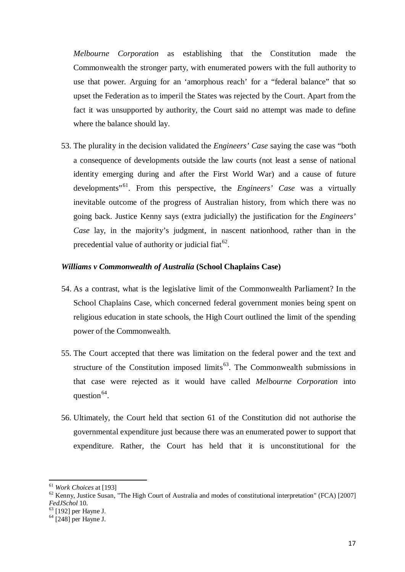*Melbourne Corporation* as establishing that the Constitution made the Commonwealth the stronger party, with enumerated powers with the full authority to use that power. Arguing for an 'amorphous reach' for a "federal balance" that so upset the Federation as to imperil the States was rejected by the Court. Apart from the fact it was unsupported by authority, the Court said no attempt was made to define where the balance should lay.

53. The plurality in the decision validated the *Engineers' Case* saying the case was "both a consequence of developments outside the law courts (not least a sense of national identity emerging during and after the First World War) and a cause of future developments"[61.](#page-16-0) From this perspective, the *Engineers' Case* was a virtually inevitable outcome of the progress of Australian history, from which there was no going back. Justice Kenny says (extra judicially) the justification for the *Engineers' Case* lay, in the majority's judgment, in nascent nationhood, rather than in the precedential value of authority or judicial fiat<sup>62</sup>.

### *Williams v Commonwealth of Australia* **(School Chaplains Case)**

- 54. As a contrast, what is the legislative limit of the Commonwealth Parliament? In the School Chaplains Case, which concerned federal government monies being spent on religious education in state schools, the High Court outlined the limit of the spending power of the Commonwealth.
- 55. The Court accepted that there was limitation on the federal power and the text and structure of the Constitution imposed limits<sup>[63](#page-16-2)</sup>. The Commonwealth submissions in that case were rejected as it would have called *Melbourne Corporation* into question<sup>[64](#page-16-3)</sup>.
- 56. Ultimately, the Court held that section 61 of the Constitution did not authorise the governmental expenditure just because there was an enumerated power to support that expenditure. Rather, the Court has held that it is unconstitutional for the

<span id="page-16-1"></span><span id="page-16-0"></span><sup>&</sup>lt;sup>61</sup> *Work Choices* at [193]<br><sup>62</sup> Kenny, Justice Susan, "The High Court of Australia and modes of constitutional interpretation" (FCA) [2007]<br>*FedJSchol* 10.

<span id="page-16-3"></span><span id="page-16-2"></span><sup>&</sup>lt;sup>63</sup> [192] per Hayne J.<br><sup>64</sup> [248] per Hayne J.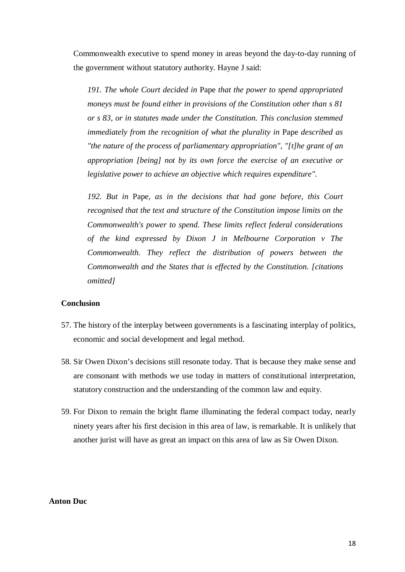Commonwealth executive to spend money in areas beyond the day-to-day running of the government without statutory authority. Hayne J said:

*191. The whole Court decided in* Pape *that the power to spend appropriated moneys must be found either in provisions of the Constitution other than s 81 or s 83, or in statutes made under the Constitution. This conclusion stemmed immediately from the recognition of what the plurality in* Pape *described as "the nature of the process of parliamentary appropriation", "[t]he grant of an appropriation [being] not by its own force the exercise of an executive or legislative power to achieve an objective which requires expenditure".*

*192. But in* Pape*, as in the decisions that had gone before, this Court recognised that the text and structure of the Constitution impose limits on the Commonwealth's power to spend. These limits reflect federal considerations of the kind expressed by Dixon J in Melbourne Corporation v The Commonwealth. They reflect the distribution of powers between the Commonwealth and the States that is effected by the Constitution. [citations omitted]*

#### **Conclusion**

- 57. The history of the interplay between governments is a fascinating interplay of politics, economic and social development and legal method.
- 58. Sir Owen Dixon's decisions still resonate today. That is because they make sense and are consonant with methods we use today in matters of constitutional interpretation, statutory construction and the understanding of the common law and equity.
- 59. For Dixon to remain the bright flame illuminating the federal compact today, nearly ninety years after his first decision in this area of law, is remarkable. It is unlikely that another jurist will have as great an impact on this area of law as Sir Owen Dixon.

## **Anton Duc**